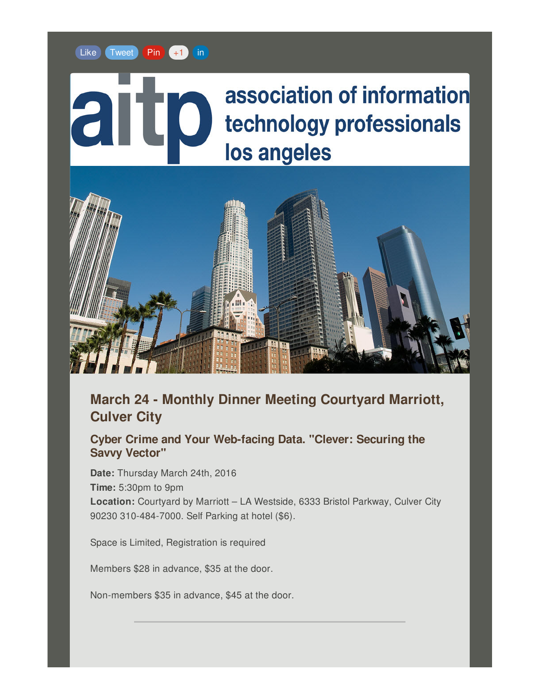#### [Like](https://gem.godaddy.com/p/47c057?fe=1&pact=0&facebook_like=true) [Tweet](https://gem.godaddy.com/p/47c057?fe=1&pact=0&twitter_share=true) [Pin](https://gem.godaddy.com/p/47c057?fe=1&pact=0&pinterest_share=true) [+1](https://gem.godaddy.com/p/47c057?fe=1&pact=0&plusone_share=true) [in](https://gem.godaddy.com/p/47c057?fe=1&pact=0&linked_in_share=true)

# association of information technology professionals los angeles



## **March 24 - Monthly Dinner Meeting Courtyard Marriott, Culver City**

**Cyber Crime and Your Web-facing Data. "Clever: Securing the Savvy Vector"**

**Date:** Thursday March 24th, 2016 **Time:** 5:30pm to 9pm **Location:** Courtyard by Marriott – LA Westside, 6333 Bristol Parkway, Culver City 90230 310-484-7000. Self Parking at hotel (\$6).

Space is Limited, Registration is required

Members \$28 in advance, \$35 at the door.

Non-members \$35 in advance, \$45 at the door.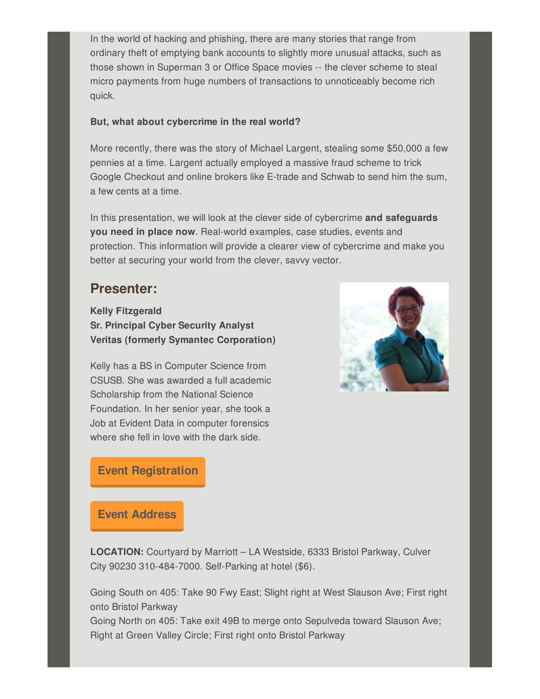In the world of hacking and phishing, there are many stories that range from ordinary theft of emptying bank accounts to slightly more unusual attacks, such as those shown in Superman 3 or Office Space movies -- the clever scheme to steal micro payments from huge numbers of transactions to unnoticeably become rich quick.

#### **But, what about cybercrime in the real world?**

More recently, there was the story of Michael Largent, stealing some \$50,000 a few pennies at a time. Largent actually employed a massive fraud scheme to trick Google Checkout and online brokers like E-trade and Schwab to send him the sum, a few cents at a time.

In this presentation, we will look at the clever side of cybercrime **and safeguards you need in place now**. Real-world examples, case studies, events and protection. This information will provide a clearer view of cybercrime and make you better at securing your world from the clever, savvy vector.

## **Presenter:**

**Kelly Fitzgerald Sr. Principal Cyber Security Analyst Veritas (formerly Symantec Corporation)**

Kelly has a BS in Computer Science from CSUSB. She was awarded a full academic Scholarship from the National Science Foundation. In her senior year, she took a Job at Evident Data in computer forensics where she fell in love with the dark side.



### **Event [Registration](https://www.eventbrite.com/e/cyber-crime-and-your-web-facing-data-tickets-21647692832)**

#### **Event [Address](http://www.marriott.com/hotels/maps/travel/laxcv-courtyard-los-angeles-westside/)**

**LOCATION:** Courtyard by Marriott – LA Westside, 6333 Bristol Parkway, Culver City 90230 310-484-7000. Self-Parking at hotel (\$6).

Going South on 405: Take 90 Fwy East; Slight right at West Slauson Ave; First right onto Bristol Parkway

Going North on 405: Take exit 49B to merge onto Sepulveda toward Slauson Ave; Right at Green Valley Circle; First right onto Bristol Parkway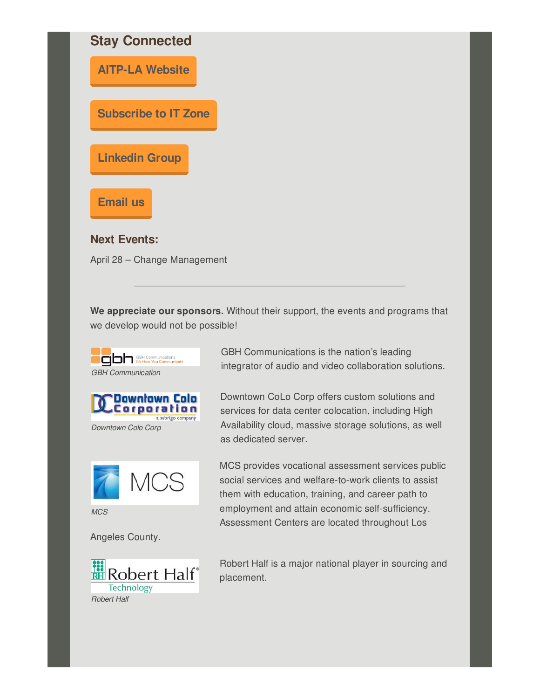

**We appreciate our sponsors.** Without their support, the events and programs that we develop would not be possible!





*Downtown Colo Corp*



*MCS*

Angeles County.



GBH Communications is the nation's leading integrator of audio and video collaboration solutions.

Downtown CoLo Corp offers custom solutions and services for data center colocation, including High Availability cloud, massive storage solutions, as well as dedicated server.

MCS provides vocational assessment services public social services and welfare-to-work clients to assist them with education, training, and career path to employment and attain economic self-sufficiency. Assessment Centers are located throughout Los

Robert Half is a major national player in sourcing and placement.